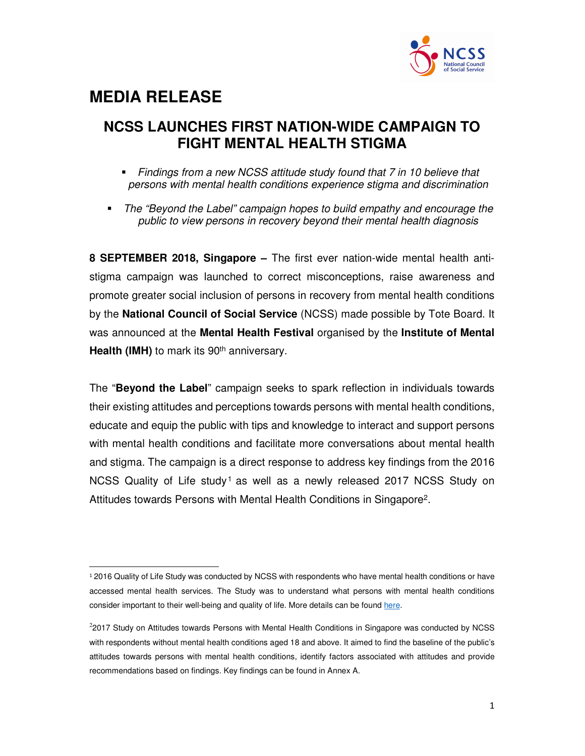

# **MEDIA RELEASE**

.

### **NCSS LAUNCHES FIRST NATION-WIDE CAMPAIGN TO FIGHT MENTAL HEALTH STIGMA**

- Findings from a new NCSS attitude study found that 7 in 10 believe that persons with mental health conditions experience stigma and discrimination
- The "Beyond the Label" campaign hopes to build empathy and encourage the public to view persons in recovery beyond their mental health diagnosis

**8 SEPTEMBER 2018, Singapore –** The first ever nation-wide mental health antistigma campaign was launched to correct misconceptions, raise awareness and promote greater social inclusion of persons in recovery from mental health conditions by the **National Council of Social Service** (NCSS) made possible by Tote Board. It was announced at the **Mental Health Festival** organised by the **Institute of Mental Health (IMH)** to mark its 90<sup>th</sup> anniversary.

The "**Beyond the Label**" campaign seeks to spark reflection in individuals towards their existing attitudes and perceptions towards persons with mental health conditions, educate and equip the public with tips and knowledge to interact and support persons with mental health conditions and facilitate more conversations about mental health and stigma. The campaign is a direct response to address key findings from the 2016 NCSS Quality of Life study<sup>1</sup> as well as a newly released 2017 NCSS Study on Attitudes towards Persons with Mental Health Conditions in Singapore<sup>2</sup>.

<sup>1</sup> 2016 Quality of Life Study was conducted by NCSS with respondents who have mental health conditions or have accessed mental health services. The Study was to understand what persons with mental health conditions consider important to their well-being and quality of life. More details can be found here.

<sup>&</sup>lt;sup>2</sup>2017 Study on Attitudes towards Persons with Mental Health Conditions in Singapore was conducted by NCSS with respondents without mental health conditions aged 18 and above. It aimed to find the baseline of the public's attitudes towards persons with mental health conditions, identify factors associated with attitudes and provide recommendations based on findings. Key findings can be found in Annex A.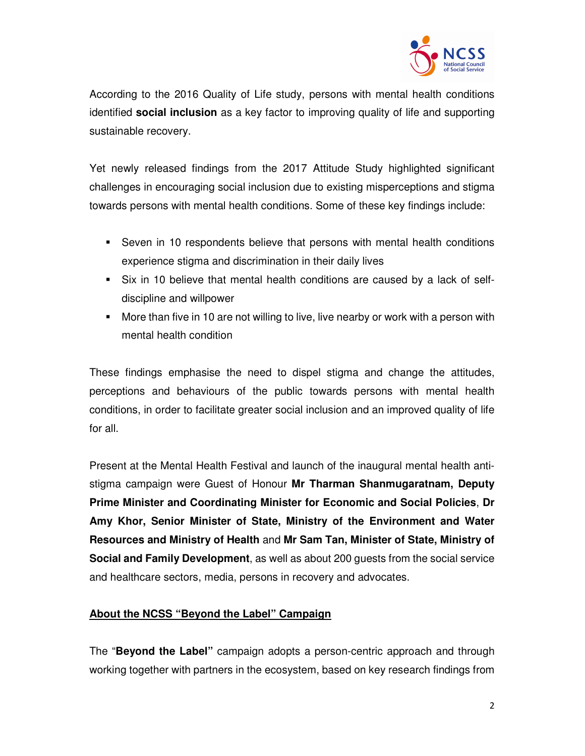

According to the 2016 Quality of Life study, persons with mental health conditions identified **social inclusion** as a key factor to improving quality of life and supporting sustainable recovery.

Yet newly released findings from the 2017 Attitude Study highlighted significant challenges in encouraging social inclusion due to existing misperceptions and stigma towards persons with mental health conditions. Some of these key findings include:

- Seven in 10 respondents believe that persons with mental health conditions experience stigma and discrimination in their daily lives
- Six in 10 believe that mental health conditions are caused by a lack of selfdiscipline and willpower
- More than five in 10 are not willing to live, live nearby or work with a person with mental health condition

These findings emphasise the need to dispel stigma and change the attitudes, perceptions and behaviours of the public towards persons with mental health conditions, in order to facilitate greater social inclusion and an improved quality of life for all.

Present at the Mental Health Festival and launch of the inaugural mental health antistigma campaign were Guest of Honour **Mr Tharman Shanmugaratnam, Deputy Prime Minister and Coordinating Minister for Economic and Social Policies**, **Dr Amy Khor, Senior Minister of State, Ministry of the Environment and Water Resources and Ministry of Health** and **Mr Sam Tan, Minister of State, Ministry of Social and Family Development**, as well as about 200 guests from the social service and healthcare sectors, media, persons in recovery and advocates.

#### **About the NCSS "Beyond the Label" Campaign**

The "**Beyond the Label"** campaign adopts a person-centric approach and through working together with partners in the ecosystem, based on key research findings from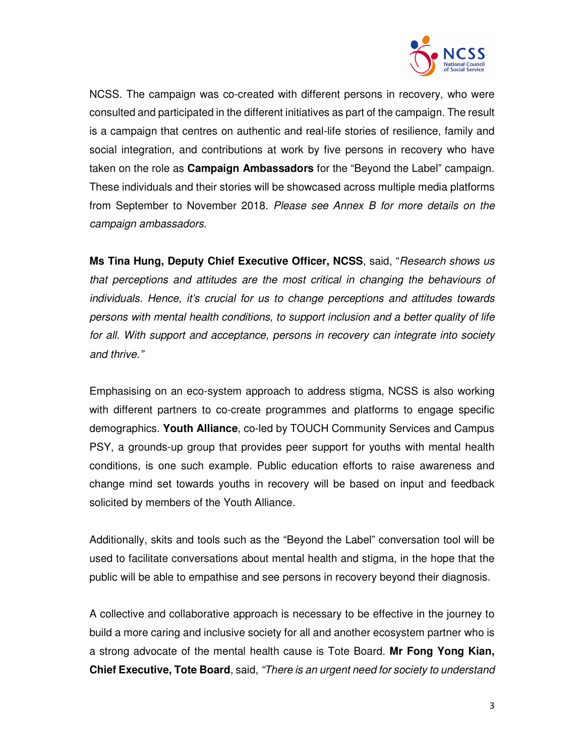

NCSS. The campaign was co-created with different persons in recovery, who were consulted and participated in the different initiatives as part of the campaign. The result is a campaign that centres on authentic and real-life stories of resilience, family and social integration, and contributions at work by five persons in recovery who have taken on the role as **Campaign Ambassadors** for the "Beyond the Label" campaign. These individuals and their stories will be showcased across multiple media platforms from September to November 2018. Please see Annex B for more details on the campaign ambassadors.

**Ms Tina Hung, Deputy Chief Executive Officer, NCSS**, said, "*Research shows us* that perceptions and attitudes are the most critical in changing the behaviours of individuals. Hence, it's crucial for us to change perceptions and attitudes towards persons with mental health conditions, to support inclusion and a better quality of life for all. With support and acceptance, persons in recovery can integrate into society and thrive."

Emphasising on an eco-system approach to address stigma, NCSS is also working with different partners to co-create programmes and platforms to engage specific demographics. **Youth Alliance**, co-led by TOUCH Community Services and Campus PSY, a grounds-up group that provides peer support for youths with mental health conditions, is one such example. Public education efforts to raise awareness and change mind set towards youths in recovery will be based on input and feedback solicited by members of the Youth Alliance.

Additionally, skits and tools such as the "Beyond the Label" conversation tool will be used to facilitate conversations about mental health and stigma, in the hope that the public will be able to empathise and see persons in recovery beyond their diagnosis.

A collective and collaborative approach is necessary to be effective in the journey to build a more caring and inclusive society for all and another ecosystem partner who is a strong advocate of the mental health cause is Tote Board. **Mr Fong Yong Kian, Chief Executive, Tote Board**, said, "There is an urgent need for society to understand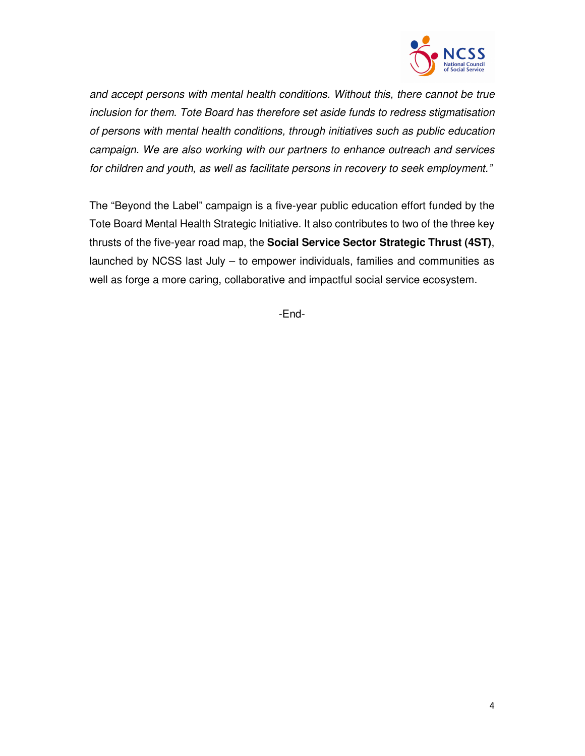

and accept persons with mental health conditions. Without this, there cannot be true inclusion for them. Tote Board has therefore set aside funds to redress stigmatisation of persons with mental health conditions, through initiatives such as public education campaign. We are also working with our partners to enhance outreach and services for children and youth, as well as facilitate persons in recovery to seek employment."

The "Beyond the Label" campaign is a five-year public education effort funded by the Tote Board Mental Health Strategic Initiative. It also contributes to two of the three key thrusts of the five-year road map, the **Social Service Sector Strategic Thrust (4ST)**, launched by NCSS last July – to empower individuals, families and communities as well as forge a more caring, collaborative and impactful social service ecosystem.

-End-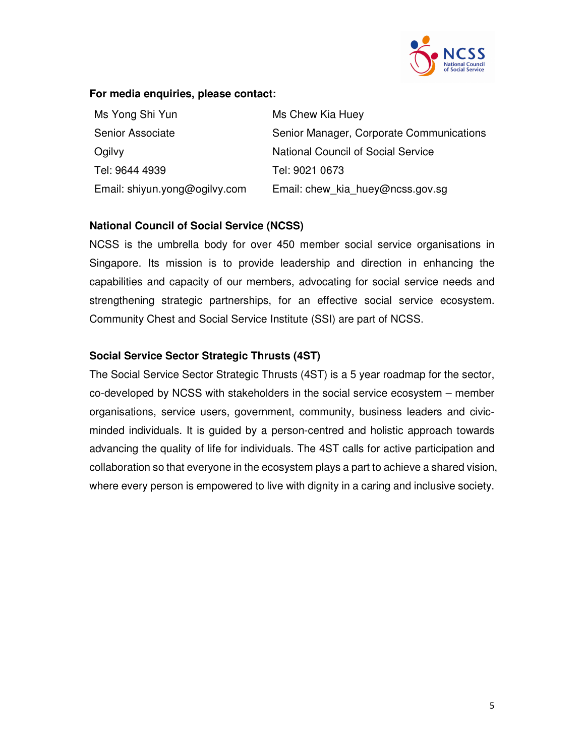

#### **For media enquiries, please contact:**

| Ms Yong Shi Yun               | Ms Chew Kia Huey                         |
|-------------------------------|------------------------------------------|
| Senior Associate              | Senior Manager, Corporate Communications |
| Ogilvy                        | National Council of Social Service       |
| Tel: 9644 4939                | Tel: 9021 0673                           |
| Email: shiyun.yong@ogilvy.com | Email: chew kia huey@ncss.gov.sg         |

#### **National Council of Social Service (NCSS)**

NCSS is the umbrella body for over 450 member social service organisations in Singapore. Its mission is to provide leadership and direction in enhancing the capabilities and capacity of our members, advocating for social service needs and strengthening strategic partnerships, for an effective social service ecosystem. Community Chest and Social Service Institute (SSI) are part of NCSS.

#### **Social Service Sector Strategic Thrusts (4ST)**

The Social Service Sector Strategic Thrusts (4ST) is a 5 year roadmap for the sector, co-developed by NCSS with stakeholders in the social service ecosystem – member organisations, service users, government, community, business leaders and civicminded individuals. It is guided by a person-centred and holistic approach towards advancing the quality of life for individuals. The 4ST calls for active participation and collaboration so that everyone in the ecosystem plays a part to achieve a shared vision, where every person is empowered to live with dignity in a caring and inclusive society.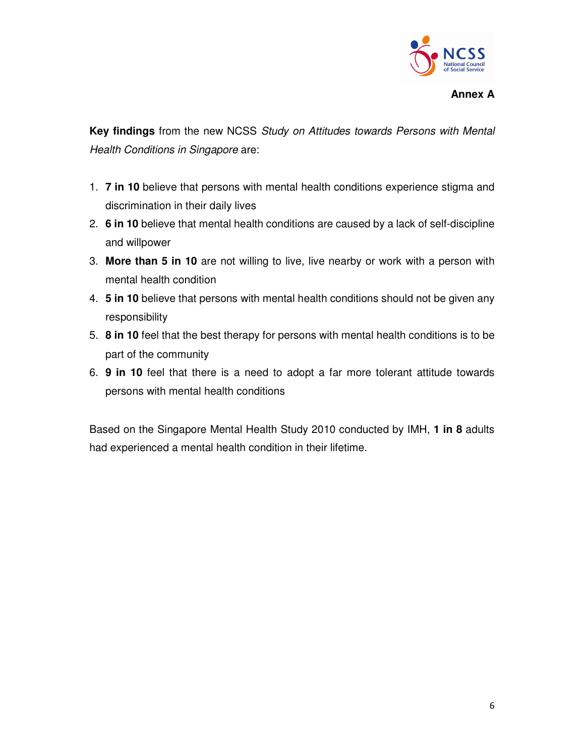

**Key findings** from the new NCSS Study on Attitudes towards Persons with Mental Health Conditions in Singapore are:

- 1. **7 in 10** believe that persons with mental health conditions experience stigma and discrimination in their daily lives
- 2. **6 in 10** believe that mental health conditions are caused by a lack of self-discipline and willpower
- 3. **More than 5 in 10** are not willing to live, live nearby or work with a person with mental health condition
- 4. **5 in 10** believe that persons with mental health conditions should not be given any responsibility
- 5. **8 in 10** feel that the best therapy for persons with mental health conditions is to be part of the community
- 6. **9 in 10** feel that there is a need to adopt a far more tolerant attitude towards persons with mental health conditions

Based on the Singapore Mental Health Study 2010 conducted by IMH, **1 in 8** adults had experienced a mental health condition in their lifetime.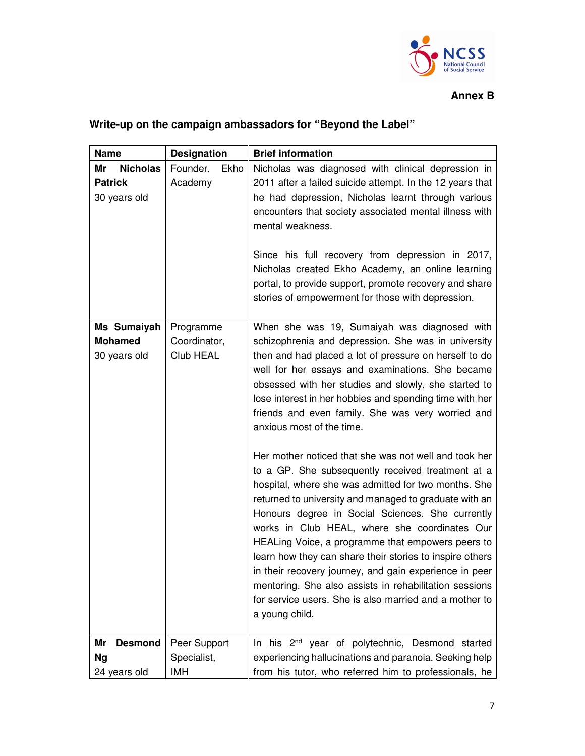

#### **Annex B**

## **Write-up on the campaign ambassadors for "Beyond the Label"**

| <b>Name</b>                                             | <b>Designation</b>                     | <b>Brief information</b>                                                                                                                                                                                                                                                                                                                                                                                                                                                                                                                                                                                                                                                                                                                                                                                                                                                     |
|---------------------------------------------------------|----------------------------------------|------------------------------------------------------------------------------------------------------------------------------------------------------------------------------------------------------------------------------------------------------------------------------------------------------------------------------------------------------------------------------------------------------------------------------------------------------------------------------------------------------------------------------------------------------------------------------------------------------------------------------------------------------------------------------------------------------------------------------------------------------------------------------------------------------------------------------------------------------------------------------|
| Mr<br><b>Nicholas</b><br><b>Patrick</b><br>30 years old | Founder,<br>Ekho<br>Academy            | Nicholas was diagnosed with clinical depression in<br>2011 after a failed suicide attempt. In the 12 years that<br>he had depression, Nicholas learnt through various<br>encounters that society associated mental illness with<br>mental weakness.<br>Since his full recovery from depression in 2017,<br>Nicholas created Ekho Academy, an online learning<br>portal, to provide support, promote recovery and share<br>stories of empowerment for those with depression.                                                                                                                                                                                                                                                                                                                                                                                                  |
| Ms Sumaiyah<br><b>Mohamed</b><br>30 years old           | Programme<br>Coordinator,<br>Club HEAL | When she was 19, Sumaiyah was diagnosed with<br>schizophrenia and depression. She was in university<br>then and had placed a lot of pressure on herself to do<br>well for her essays and examinations. She became<br>obsessed with her studies and slowly, she started to<br>lose interest in her hobbies and spending time with her<br>friends and even family. She was very worried and<br>anxious most of the time.<br>Her mother noticed that she was not well and took her<br>to a GP. She subsequently received treatment at a<br>hospital, where she was admitted for two months. She<br>returned to university and managed to graduate with an<br>Honours degree in Social Sciences. She currently<br>works in Club HEAL, where she coordinates Our<br>HEALing Voice, a programme that empowers peers to<br>learn how they can share their stories to inspire others |
| Mr<br><b>Desmond</b><br>Ng                              | Peer Support<br>Specialist,            | in their recovery journey, and gain experience in peer<br>mentoring. She also assists in rehabilitation sessions<br>for service users. She is also married and a mother to<br>a young child.<br>In his 2 <sup>nd</sup> year of polytechnic, Desmond started<br>experiencing hallucinations and paranoia. Seeking help                                                                                                                                                                                                                                                                                                                                                                                                                                                                                                                                                        |
| 24 years old                                            | <b>IMH</b>                             | from his tutor, who referred him to professionals, he                                                                                                                                                                                                                                                                                                                                                                                                                                                                                                                                                                                                                                                                                                                                                                                                                        |